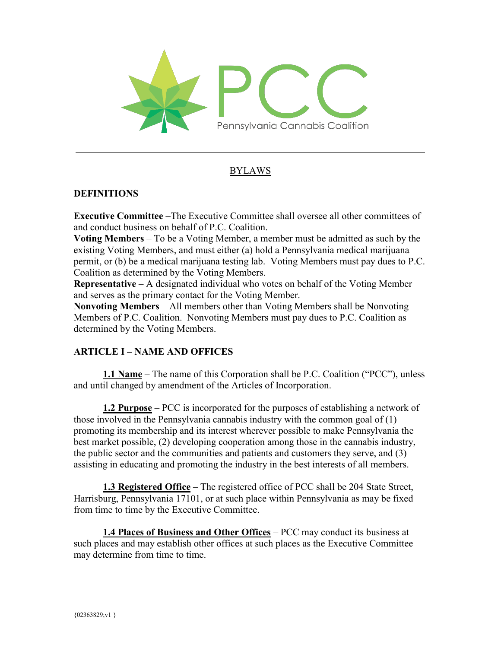

## BYLAWS

#### **DEFINITIONS**

**Executive Committee –**The Executive Committee shall oversee all other committees of and conduct business on behalf of P.C. Coalition.

**Voting Members** – To be a Voting Member, a member must be admitted as such by the existing Voting Members, and must either (a) hold a Pennsylvania medical marijuana permit, or (b) be a medical marijuana testing lab. Voting Members must pay dues to P.C. Coalition as determined by the Voting Members.

**Representative** – A designated individual who votes on behalf of the Voting Member and serves as the primary contact for the Voting Member.

**Nonvoting Members** – All members other than Voting Members shall be Nonvoting Members of P.C. Coalition. Nonvoting Members must pay dues to P.C. Coalition as determined by the Voting Members.

### **ARTICLE I – NAME AND OFFICES**

**1.1 Name** – The name of this Corporation shall be P.C. Coalition ("PCC"), unless and until changed by amendment of the Articles of Incorporation.

**1.2 Purpose** – PCC is incorporated for the purposes of establishing a network of those involved in the Pennsylvania cannabis industry with the common goal of (1) promoting its membership and its interest wherever possible to make Pennsylvania the best market possible, (2) developing cooperation among those in the cannabis industry, the public sector and the communities and patients and customers they serve, and (3) assisting in educating and promoting the industry in the best interests of all members.

**1.3 Registered Office** – The registered office of PCC shall be 204 State Street, Harrisburg, Pennsylvania 17101, or at such place within Pennsylvania as may be fixed from time to time by the Executive Committee.

**1.4 Places of Business and Other Offices** – PCC may conduct its business at such places and may establish other offices at such places as the Executive Committee may determine from time to time.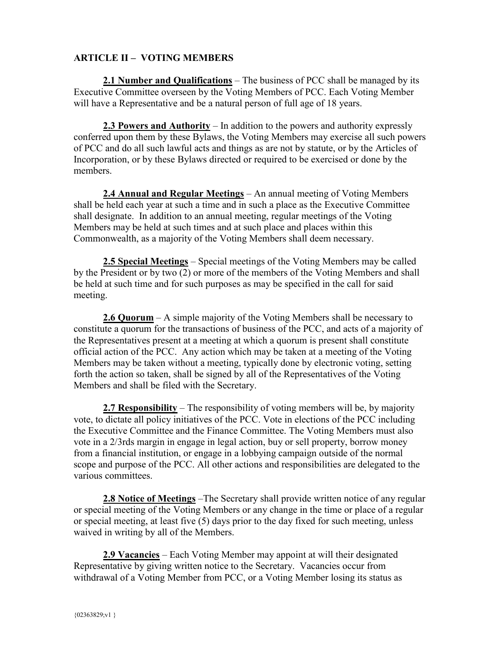## **ARTICLE II – VOTING MEMBERS**

**2.1 Number and Qualifications** – The business of PCC shall be managed by its Executive Committee overseen by the Voting Members of PCC. Each Voting Member will have a Representative and be a natural person of full age of 18 years.

**2.3 Powers and Authority** – In addition to the powers and authority expressly conferred upon them by these Bylaws, the Voting Members may exercise all such powers of PCC and do all such lawful acts and things as are not by statute, or by the Articles of Incorporation, or by these Bylaws directed or required to be exercised or done by the members.

**2.4 Annual and Regular Meetings** – An annual meeting of Voting Members shall be held each year at such a time and in such a place as the Executive Committee shall designate. In addition to an annual meeting, regular meetings of the Voting Members may be held at such times and at such place and places within this Commonwealth, as a majority of the Voting Members shall deem necessary.

**2.5 Special Meetings** – Special meetings of the Voting Members may be called by the President or by two (2) or more of the members of the Voting Members and shall be held at such time and for such purposes as may be specified in the call for said meeting.

**2.6 Quorum** – A simple majority of the Voting Members shall be necessary to constitute a quorum for the transactions of business of the PCC, and acts of a majority of the Representatives present at a meeting at which a quorum is present shall constitute official action of the PCC. Any action which may be taken at a meeting of the Voting Members may be taken without a meeting, typically done by electronic voting, setting forth the action so taken, shall be signed by all of the Representatives of the Voting Members and shall be filed with the Secretary.

**2.7 Responsibility** – The responsibility of voting members will be, by majority vote, to dictate all policy initiatives of the PCC. Vote in elections of the PCC including the Executive Committee and the Finance Committee. The Voting Members must also vote in a 2/3rds margin in engage in legal action, buy or sell property, borrow money from a financial institution, or engage in a lobbying campaign outside of the normal scope and purpose of the PCC. All other actions and responsibilities are delegated to the various committees.

**2.8 Notice of Meetings** –The Secretary shall provide written notice of any regular or special meeting of the Voting Members or any change in the time or place of a regular or special meeting, at least five (5) days prior to the day fixed for such meeting, unless waived in writing by all of the Members.

**2.9 Vacancies** – Each Voting Member may appoint at will their designated Representative by giving written notice to the Secretary. Vacancies occur from withdrawal of a Voting Member from PCC, or a Voting Member losing its status as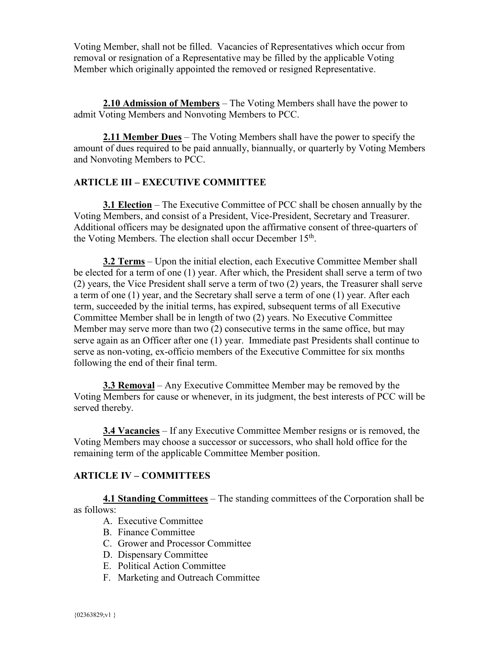Voting Member, shall not be filled. Vacancies of Representatives which occur from removal or resignation of a Representative may be filled by the applicable Voting Member which originally appointed the removed or resigned Representative.

**2.10 Admission of Members** – The Voting Members shall have the power to admit Voting Members and Nonvoting Members to PCC.

**2.11 Member Dues** – The Voting Members shall have the power to specify the amount of dues required to be paid annually, biannually, or quarterly by Voting Members and Nonvoting Members to PCC.

### **ARTICLE III – EXECUTIVE COMMITTEE**

**3.1 Election** – The Executive Committee of PCC shall be chosen annually by the Voting Members, and consist of a President, Vice-President, Secretary and Treasurer. Additional officers may be designated upon the affirmative consent of three-quarters of the Voting Members. The election shall occur December 15<sup>th</sup>.

**3.2 Terms** – Upon the initial election, each Executive Committee Member shall be elected for a term of one (1) year. After which, the President shall serve a term of two (2) years, the Vice President shall serve a term of two (2) years, the Treasurer shall serve a term of one (1) year, and the Secretary shall serve a term of one (1) year. After each term, succeeded by the initial terms, has expired, subsequent terms of all Executive Committee Member shall be in length of two (2) years. No Executive Committee Member may serve more than two (2) consecutive terms in the same office, but may serve again as an Officer after one (1) year. Immediate past Presidents shall continue to serve as non-voting, ex-officio members of the Executive Committee for six months following the end of their final term.

**3.3 Removal** – Any Executive Committee Member may be removed by the Voting Members for cause or whenever, in its judgment, the best interests of PCC will be served thereby.

**3.4 Vacancies** – If any Executive Committee Member resigns or is removed, the Voting Members may choose a successor or successors, who shall hold office for the remaining term of the applicable Committee Member position.

### **ARTICLE IV – COMMITTEES**

**4.1 Standing Committees** – The standing committees of the Corporation shall be as follows:

- A. Executive Committee
- B. Finance Committee
- C. Grower and Processor Committee
- D. Dispensary Committee
- E. Political Action Committee
- F. Marketing and Outreach Committee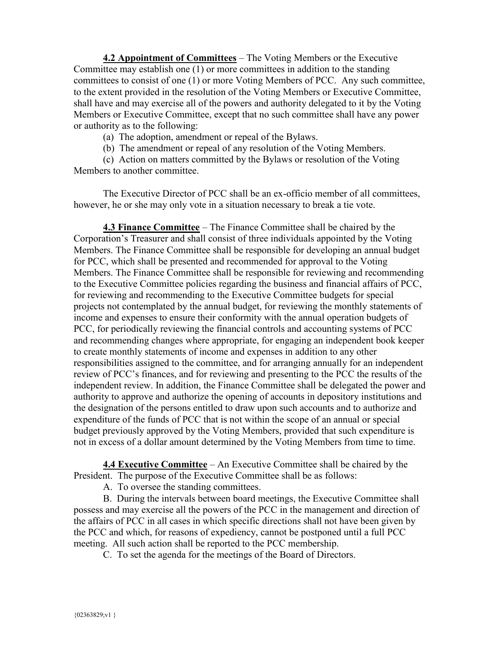**4.2 Appointment of Committees** – The Voting Members or the Executive Committee may establish one (1) or more committees in addition to the standing committees to consist of one (1) or more Voting Members of PCC. Any such committee, to the extent provided in the resolution of the Voting Members or Executive Committee, shall have and may exercise all of the powers and authority delegated to it by the Voting Members or Executive Committee, except that no such committee shall have any power or authority as to the following:

(a) The adoption, amendment or repeal of the Bylaws.

(b) The amendment or repeal of any resolution of the Voting Members.

(c) Action on matters committed by the Bylaws or resolution of the Voting Members to another committee.

The Executive Director of PCC shall be an ex-officio member of all committees, however, he or she may only vote in a situation necessary to break a tie vote.

**4.3 Finance Committee** – The Finance Committee shall be chaired by the Corporation's Treasurer and shall consist of three individuals appointed by the Voting Members. The Finance Committee shall be responsible for developing an annual budget for PCC, which shall be presented and recommended for approval to the Voting Members. The Finance Committee shall be responsible for reviewing and recommending to the Executive Committee policies regarding the business and financial affairs of PCC, for reviewing and recommending to the Executive Committee budgets for special projects not contemplated by the annual budget, for reviewing the monthly statements of income and expenses to ensure their conformity with the annual operation budgets of PCC, for periodically reviewing the financial controls and accounting systems of PCC and recommending changes where appropriate, for engaging an independent book keeper to create monthly statements of income and expenses in addition to any other responsibilities assigned to the committee, and for arranging annually for an independent review of PCC's finances, and for reviewing and presenting to the PCC the results of the independent review. In addition, the Finance Committee shall be delegated the power and authority to approve and authorize the opening of accounts in depository institutions and the designation of the persons entitled to draw upon such accounts and to authorize and expenditure of the funds of PCC that is not within the scope of an annual or special budget previously approved by the Voting Members, provided that such expenditure is not in excess of a dollar amount determined by the Voting Members from time to time.

**4.4 Executive Committee** – An Executive Committee shall be chaired by the President. The purpose of the Executive Committee shall be as follows:

A. To oversee the standing committees.

B. During the intervals between board meetings, the Executive Committee shall possess and may exercise all the powers of the PCC in the management and direction of the affairs of PCC in all cases in which specific directions shall not have been given by the PCC and which, for reasons of expediency, cannot be postponed until a full PCC meeting. All such action shall be reported to the PCC membership.

C. To set the agenda for the meetings of the Board of Directors.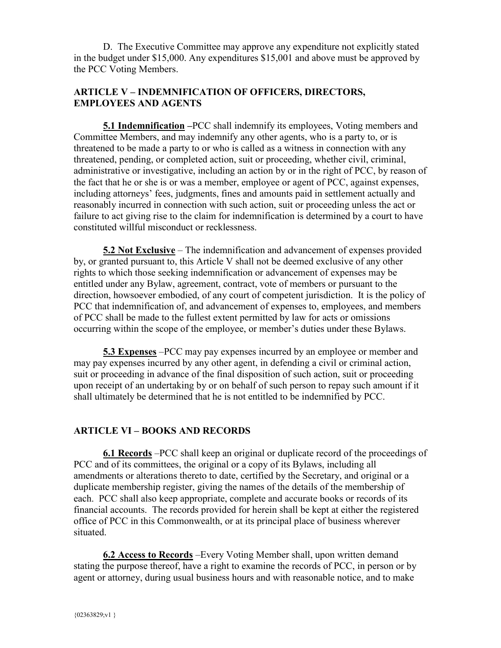D. The Executive Committee may approve any expenditure not explicitly stated in the budget under \$15,000. Any expenditures \$15,001 and above must be approved by the PCC Voting Members.

## **ARTICLE V – INDEMNIFICATION OF OFFICERS, DIRECTORS, EMPLOYEES AND AGENTS**

**5.1 Indemnification –**PCC shall indemnify its employees, Voting members and Committee Members, and may indemnify any other agents, who is a party to, or is threatened to be made a party to or who is called as a witness in connection with any threatened, pending, or completed action, suit or proceeding, whether civil, criminal, administrative or investigative, including an action by or in the right of PCC, by reason of the fact that he or she is or was a member, employee or agent of PCC, against expenses, including attorneys' fees, judgments, fines and amounts paid in settlement actually and reasonably incurred in connection with such action, suit or proceeding unless the act or failure to act giving rise to the claim for indemnification is determined by a court to have constituted willful misconduct or recklessness.

**5.2 Not Exclusive** – The indemnification and advancement of expenses provided by, or granted pursuant to, this Article V shall not be deemed exclusive of any other rights to which those seeking indemnification or advancement of expenses may be entitled under any Bylaw, agreement, contract, vote of members or pursuant to the direction, howsoever embodied, of any court of competent jurisdiction. It is the policy of PCC that indemnification of, and advancement of expenses to, employees, and members of PCC shall be made to the fullest extent permitted by law for acts or omissions occurring within the scope of the employee, or member's duties under these Bylaws.

**5.3 Expenses** –PCC may pay expenses incurred by an employee or member and may pay expenses incurred by any other agent, in defending a civil or criminal action, suit or proceeding in advance of the final disposition of such action, suit or proceeding upon receipt of an undertaking by or on behalf of such person to repay such amount if it shall ultimately be determined that he is not entitled to be indemnified by PCC.

# **ARTICLE VI – BOOKS AND RECORDS**

**6.1 Records** –PCC shall keep an original or duplicate record of the proceedings of PCC and of its committees, the original or a copy of its Bylaws, including all amendments or alterations thereto to date, certified by the Secretary, and original or a duplicate membership register, giving the names of the details of the membership of each. PCC shall also keep appropriate, complete and accurate books or records of its financial accounts. The records provided for herein shall be kept at either the registered office of PCC in this Commonwealth, or at its principal place of business wherever situated.

**6.2 Access to Records** –Every Voting Member shall, upon written demand stating the purpose thereof, have a right to examine the records of PCC, in person or by agent or attorney, during usual business hours and with reasonable notice, and to make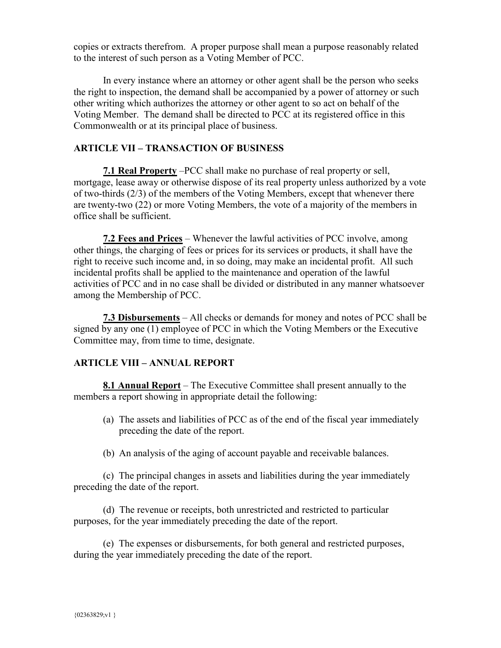copies or extracts therefrom. A proper purpose shall mean a purpose reasonably related to the interest of such person as a Voting Member of PCC.

In every instance where an attorney or other agent shall be the person who seeks the right to inspection, the demand shall be accompanied by a power of attorney or such other writing which authorizes the attorney or other agent to so act on behalf of the Voting Member. The demand shall be directed to PCC at its registered office in this Commonwealth or at its principal place of business.

### **ARTICLE VII – TRANSACTION OF BUSINESS**

**7.1 Real Property** –PCC shall make no purchase of real property or sell, mortgage, lease away or otherwise dispose of its real property unless authorized by a vote of two-thirds (2/3) of the members of the Voting Members, except that whenever there are twenty-two (22) or more Voting Members, the vote of a majority of the members in office shall be sufficient.

**7.2 Fees and Prices** – Whenever the lawful activities of PCC involve, among other things, the charging of fees or prices for its services or products, it shall have the right to receive such income and, in so doing, may make an incidental profit. All such incidental profits shall be applied to the maintenance and operation of the lawful activities of PCC and in no case shall be divided or distributed in any manner whatsoever among the Membership of PCC.

**7.3 Disbursements** – All checks or demands for money and notes of PCC shall be signed by any one (1) employee of PCC in which the Voting Members or the Executive Committee may, from time to time, designate.

### **ARTICLE VIII – ANNUAL REPORT**

**8.1 Annual Report** – The Executive Committee shall present annually to the members a report showing in appropriate detail the following:

- (a) The assets and liabilities of PCC as of the end of the fiscal year immediately preceding the date of the report.
- (b) An analysis of the aging of account payable and receivable balances.

(c) The principal changes in assets and liabilities during the year immediately preceding the date of the report.

(d) The revenue or receipts, both unrestricted and restricted to particular purposes, for the year immediately preceding the date of the report.

(e) The expenses or disbursements, for both general and restricted purposes, during the year immediately preceding the date of the report.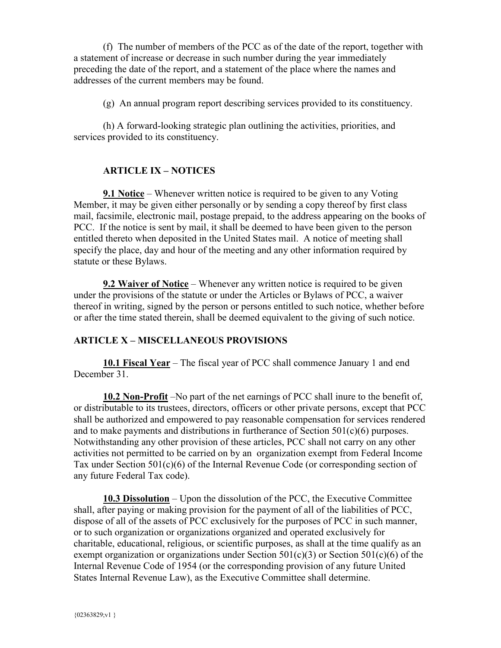(f) The number of members of the PCC as of the date of the report, together with a statement of increase or decrease in such number during the year immediately preceding the date of the report, and a statement of the place where the names and addresses of the current members may be found.

(g) An annual program report describing services provided to its constituency.

(h) A forward-looking strategic plan outlining the activities, priorities, and services provided to its constituency.

## **ARTICLE IX – NOTICES**

**9.1 Notice** – Whenever written notice is required to be given to any Voting Member, it may be given either personally or by sending a copy thereof by first class mail, facsimile, electronic mail, postage prepaid, to the address appearing on the books of PCC. If the notice is sent by mail, it shall be deemed to have been given to the person entitled thereto when deposited in the United States mail. A notice of meeting shall specify the place, day and hour of the meeting and any other information required by statute or these Bylaws.

**9.2 Waiver of Notice** – Whenever any written notice is required to be given under the provisions of the statute or under the Articles or Bylaws of PCC, a waiver thereof in writing, signed by the person or persons entitled to such notice, whether before or after the time stated therein, shall be deemed equivalent to the giving of such notice.

### **ARTICLE X – MISCELLANEOUS PROVISIONS**

**10.1 Fiscal Year** – The fiscal year of PCC shall commence January 1 and end December 31.

**10.2 Non-Profit** –No part of the net earnings of PCC shall inure to the benefit of, or distributable to its trustees, directors, officers or other private persons, except that PCC shall be authorized and empowered to pay reasonable compensation for services rendered and to make payments and distributions in furtherance of Section 501(c)(6) purposes. Notwithstanding any other provision of these articles, PCC shall not carry on any other activities not permitted to be carried on by an organization exempt from Federal Income Tax under Section 501(c)(6) of the Internal Revenue Code (or corresponding section of any future Federal Tax code).

**10.3 Dissolution** – Upon the dissolution of the PCC, the Executive Committee shall, after paying or making provision for the payment of all of the liabilities of PCC, dispose of all of the assets of PCC exclusively for the purposes of PCC in such manner, or to such organization or organizations organized and operated exclusively for charitable, educational, religious, or scientific purposes, as shall at the time qualify as an exempt organization or organizations under Section  $501(c)(3)$  or Section  $501(c)(6)$  of the Internal Revenue Code of 1954 (or the corresponding provision of any future United States Internal Revenue Law), as the Executive Committee shall determine.